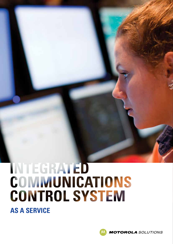# INTEGRATED **COMMUNICATIONS CONTROL SYSTEM**

**AS A SERVICE**

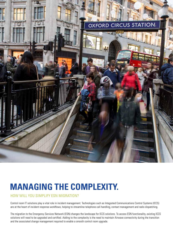

# **MANAGING THE COMPLEXITY.**

HOW WILL YOU SIMPLIFY ESN MIGRATION?

Control room IT solutions play a vital role in incident management. Technologies such as Integrated Communications Control Systems (ICCS) are at the heart of incident response workflows, helping to streamline telephone call handling, contact management and radio dispatching.

The migration to the Emergency Services Network (ESN) changes the landscape for ICCS solutions. To access ESN functionality, existing ICCS solutions will need to be upgraded and certified. Adding to the complexity is the need to maintain Airwave connectivity during the transition and the associated change management required to enable a smooth control room upgrade.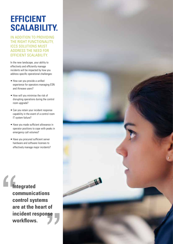# **EFFICIENT SCALABILITY.**

IN ADDITION TO PROVIDING THE RIGHT FUNCTIONALITY, ICCS SOLUTIONS MUST ADDRESS THE NEED FOR EFFICIENT SCALABILITY.

In the new landscape, your ability to effectively and efficiently manage incidents will be impacted by how you address specific operational challenges:

- How can you provide a unified experience for operators managing ESN and Airwave users?
- How will you minimise the risk of disrupting operations during the control room upgrade?
- Can you retain your incident response capability in the event of a control room IT system failure?
- Have you made sufficient allowance in operator positions to cope with peaks in emergency call volumes?
- Have you procured sufficient server hardware and software licenses to effectively manage major incidents?

**Integrated communications control systems are at the heart of incident response workflows.**

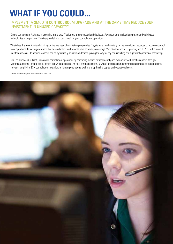# **WHAT IF YOU COULD...**

### IMPLEMENT A SMOOTH CONTROL ROOM UPGRADE AND AT THE SAME TIME REDUCE YOUR INVESTMENT IN UNUSED CAPACITY?

Simply put, you can. A change is occurring in the way IT solutions are purchased and deployed. Advancements in cloud computing and web-based technologies underpin new IT delivery models that can transform your control room operations.

What does this mean? Instead of taking on the overhead of maintaining on-premise IT systems, a cloud strategy can help you focus resources on your core control room operations. In fact, organisations that have adopted cloud services have achieved, on average, 15.07% reduction in IT spending and 16.76% reduction in IT maintenance costs<sup>1</sup>. In addition, capacity can be dynamically adjusted on-demand, paving the way for pay-per-use billing and significant operational cost savings.

ICCS as a Service (ICCSaaS) transforms control room operations by combining mission-critical security and availability with elastic capacity through Motorola Solutions' private cloud, hosted in ESN data centres. An ESN certified solution, ICCSaaS addresses fundamental requirements of the emergency services, simplifying ESN control room migration, enhancing operational agility and optimising capital and operational costs.

<sup>1</sup> Source: Vanson Bourne (2012) The Business Impact of the Cloud

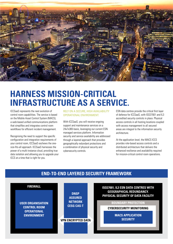

# **HARNESS MISSION-CRITICAL INFRASTRUCTURE AS A SERVICE.**

ICCSaaS represents the next evolution of control room capabilities. The service is based on the Mobile Asset Control System (MACS), a web-based unified communications platform that simplifies and integrates control room workflows for efficient incident management.

Recognising the need to support the specific configuration and integration requirements of your control room, ICCSaaS eschews the onesize-fits-all approach. ICCSaaS harnesses the power of a multi-instance cloud, providing true data isolation and allowing you to upgrade your ICCS at a time that is right for you.

#### RELY ON A SECURE, HIGH AVAILABILITY OPERATIONAL ENVIRONMENT.

With ICCSaaS, you will receive ongoing support and maintenance services on a 24x7x365 basis, leveraging our current ESN managed services platform. Information security and service availability are addressed through a layered approach that provides geographically redundant protections and a combination of physical security and cybersecurity controls.

ESN data centres provide the critical first layer of defence for ICCSaaS, with ISO27001 and IL3 accredited security controls in place. Physical access controls in all hosting locations coupled with access management to all secured areas are integral to the information security architecture.

At the application level, the MACS ICCS provides role-based access controls and a distributed architecture that delivers the enhanced resilience and availability required for mission-critical control room operations.

### **END-TO-END LAYERED SECURITY FRAMEWORK**

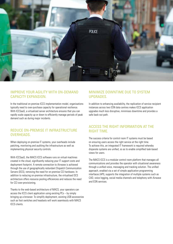

### IMPROVE YOUR AGILITY WITH ON-DEMAND CAPACITY EXPANSION.

In the traditional on-premise ICCS implementation model, organisations typically need to over-purchase capacity for operational resilience. With ICCSaaS, a virtualized server architecture ensures that you can rapidly scale capacity up or down to efficiently manage periods of peak demand such as during major incidents.

### REDUCE ON-PREMISE IT INFRASTRUCTURE OVERHEADS.

When deploying on-premise IT systems, your overheads include patching, monitoring and auditing the infrastructure as well as implementing physical security controls.

With ICCSaaS, the MACS ICCS software runs on virtual machines created in the cloud, significantly reducing your IT support costs and deployment footprint. A remote connection to Airwave is achieved through the use of geographically redundant Dispatch Communication Servers (DCS), removing the need for on-premise CCI hardware. In addition to reducing on-premise infrastructure, the virtualised DCS architecture offers resource pooling efficiencies and reduces the need for CCI over-provisioning.

Thanks to the web-based architecture of MACS, your operators can access the ICCS client application using existing PCs – by simply bringing up a browser. To simplify deployment, existing USB accessories such as foot switches and headsets will work seamlessly with MACS ICCS clients.

### MINIMIZE DOWNTIME DUE TO SYSTEM UPGRADES.

In addition to enhancing availability, the replication of service recipient instances across two ESN data centres makes ICCS application upgrades much less disruptive, minimises downtime and provides a safe back-out path.

### ACCESS THE RIGHT INFORMATION AT THE RIGHT TIME.

The success criteria for control room IT systems must be based on ensuring users access the right service at the right time. To achieve this, an integrated IT framework is required whereby disparate systems are unified, so as to enable simplified task-based views for users.

The MACS ICCS is a modular control room platform that manages all communications and provides the operator with situational awareness through a unified voice, messaging and tracking solution. The unified approach, enabled via a set of simple application programming interfaces (API), supports the integration of multiple systems such as CAD, voice logging, social media channels and telephony with Airwave and ESN services.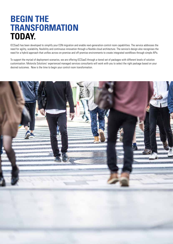# **BEGIN THE TRANSFORMATION TODAY.**

ICCSaaS has been developed to simplify your ESN migration and enable next-generation control room capabilities. The service addresses the need for agility, scalability, flexibility and continuous innovation through a flexible cloud architecture. The service's design also recognises the need for a hybrid approach that unifies across on-premise and off-premise environments to create integrated workflows through simple APIs.

To support the myriad of deployment scenarios, we are offering ICCSaaS through a tiered set of packages with different levels of solution customisation. Motorola Solutions' experienced managed services consultants will work with you to select the right package based on your desired outcomes. Now is the time to begin your control room transformation.